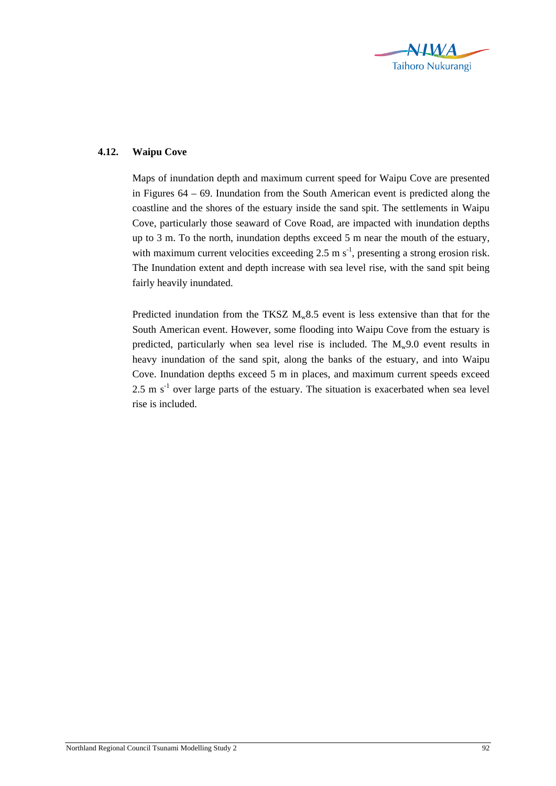

## **4.12. Waipu Cove**

Maps of inundation depth and maximum current speed for Waipu Cove are presented in Figures 64 – 69. Inundation from the South American event is predicted along the coastline and the shores of the estuary inside the sand spit. The settlements in Waipu Cove, particularly those seaward of Cove Road, are impacted with inundation depths up to 3 m. To the north, inundation depths exceed 5 m near the mouth of the estuary, with maximum current velocities exceeding 2.5 m  $s^{-1}$ , presenting a strong erosion risk. The Inundation extent and depth increase with sea level rise, with the sand spit being fairly heavily inundated.

Predicted inundation from the TKSZ  $M_w 8.5$  event is less extensive than that for the South American event. However, some flooding into Waipu Cove from the estuary is predicted, particularly when sea level rise is included. The  $M_w9.0$  event results in heavy inundation of the sand spit, along the banks of the estuary, and into Waipu Cove. Inundation depths exceed 5 m in places, and maximum current speeds exceed  $2.5 \text{ m s}^{-1}$  over large parts of the estuary. The situation is exacerbated when sea level rise is included.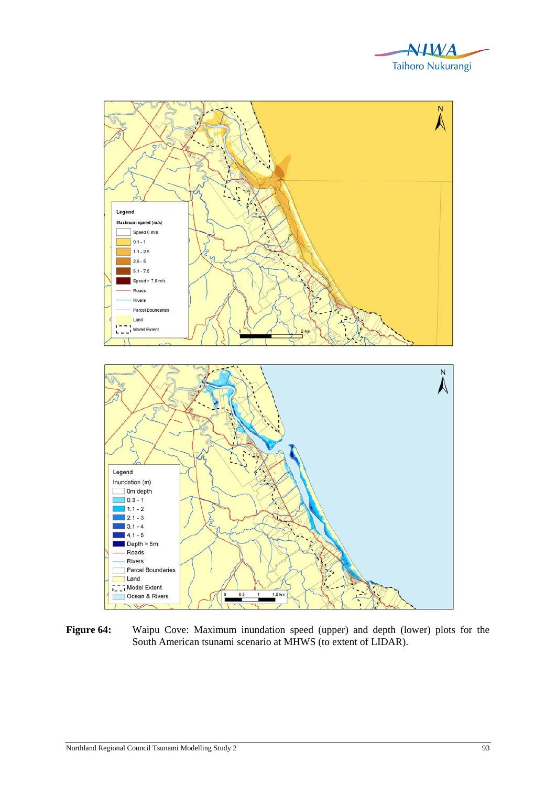



**Figure 64:** Waipu Cove: Maximum inundation speed (upper) and depth (lower) plots for the South American tsunami scenario at MHWS (to extent of LIDAR).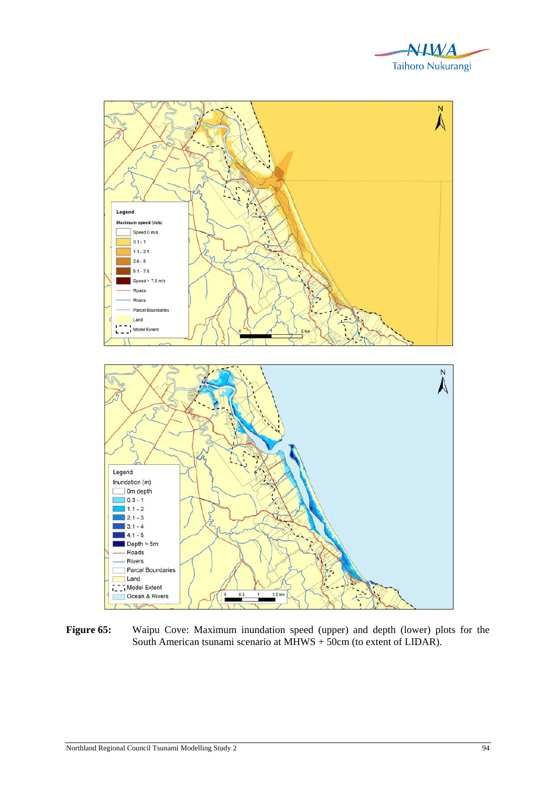



**Figure 65:** Waipu Cove: Maximum inundation speed (upper) and depth (lower) plots for the South American tsunami scenario at MHWS + 50cm (to extent of LIDAR).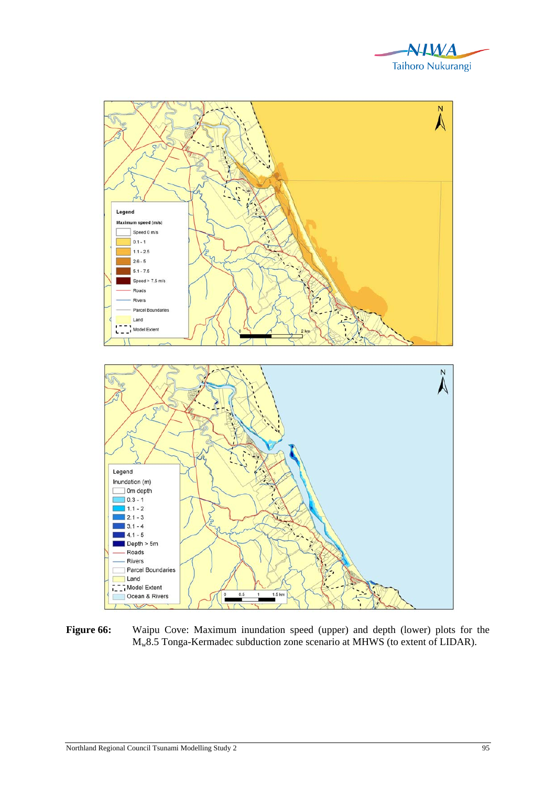



**Figure 66:** Waipu Cove: Maximum inundation speed (upper) and depth (lower) plots for the Mw8.5 Tonga-Kermadec subduction zone scenario at MHWS (to extent of LIDAR).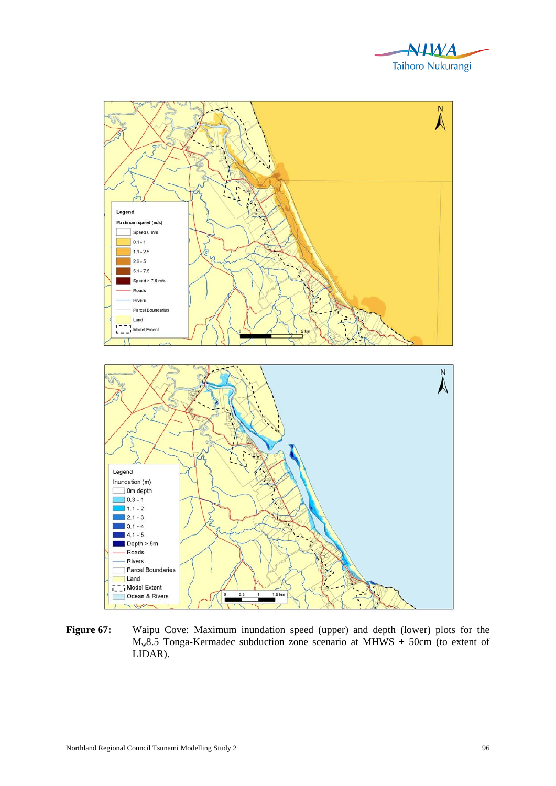



Figure 67: Waipu Cove: Maximum inundation speed (upper) and depth (lower) plots for the  $M_w8.5$  Tonga-Kermadec subduction zone scenario at MHWS + 50cm (to extent of LIDAR).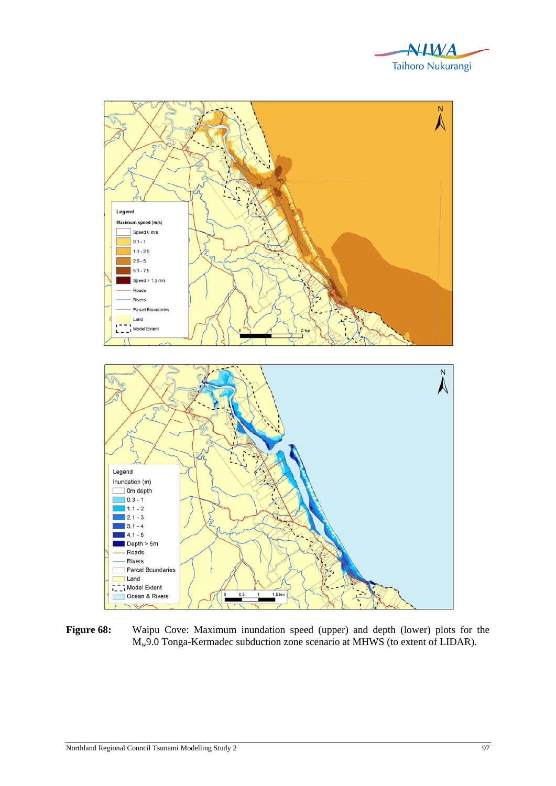



Figure 68: Waipu Cove: Maximum inundation speed (upper) and depth (lower) plots for the Mw9.0 Tonga-Kermadec subduction zone scenario at MHWS (to extent of LIDAR).